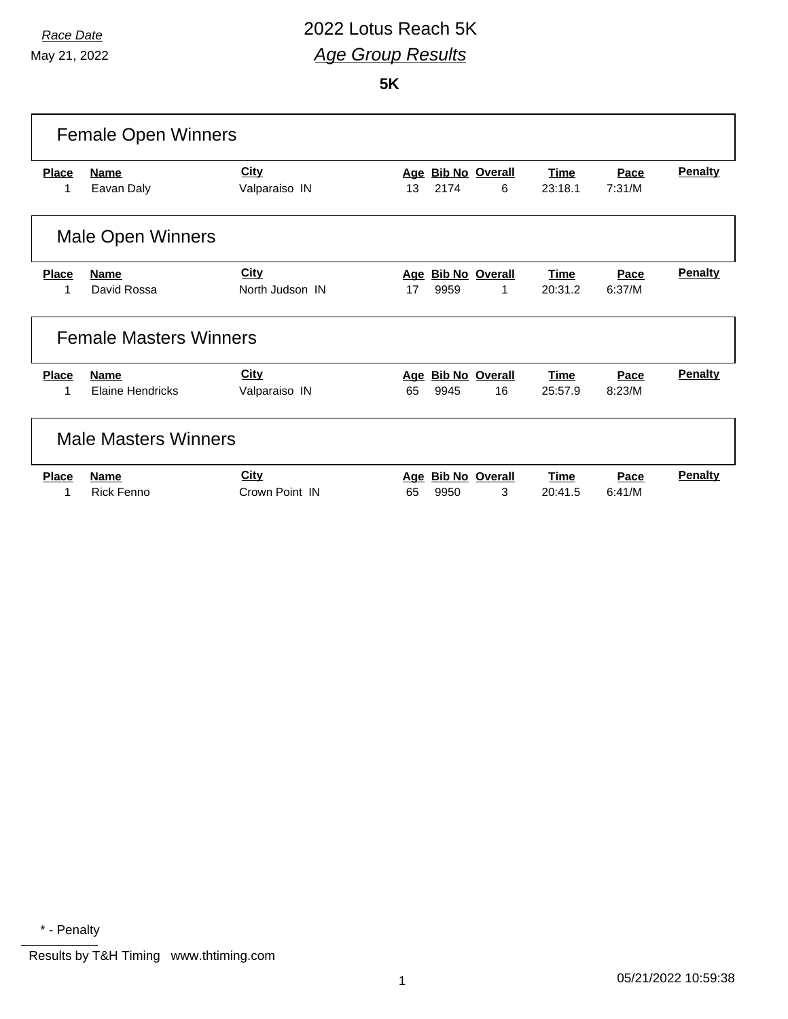## *Race Date* 2022 Lotus Reach 5K *Age Group Results*

**5K**

| <b>Female Open Winners</b>  |                                        |                                |           |      |                             |                        |                |                |
|-----------------------------|----------------------------------------|--------------------------------|-----------|------|-----------------------------|------------------------|----------------|----------------|
| <b>Place</b><br>1           | <b>Name</b><br>Eavan Daly              | <b>City</b><br>Valparaiso IN   | Age<br>13 | 2174 | <b>Bib No Overall</b><br>6  | <b>Time</b><br>23:18.1 | Pace<br>7:31/M | <b>Penalty</b> |
|                             | <b>Male Open Winners</b>               |                                |           |      |                             |                        |                |                |
| <b>Place</b><br>1           | <b>Name</b><br>David Rossa             | <b>City</b><br>North Judson IN | Age<br>17 | 9959 | <b>Bib No Overall</b><br>1  | <b>Time</b><br>20:31.2 | Pace<br>6:37/M | <b>Penalty</b> |
|                             | <b>Female Masters Winners</b>          |                                |           |      |                             |                        |                |                |
| <b>Place</b>                | <b>Name</b><br><b>Elaine Hendricks</b> | <b>City</b><br>Valparaiso IN   | Age<br>65 | 9945 | <b>Bib No Overall</b><br>16 | <b>Time</b><br>25:57.9 | Pace<br>8:23/M | <b>Penalty</b> |
| <b>Male Masters Winners</b> |                                        |                                |           |      |                             |                        |                |                |
| <b>Place</b>                | <b>Name</b><br><b>Rick Fenno</b>       | City<br>Crown Point IN         | Age<br>65 | 9950 | <b>Bib No Overall</b><br>3  | <b>Time</b><br>20:41.5 | Pace<br>6:41/M | Penalty        |

\* - Penalty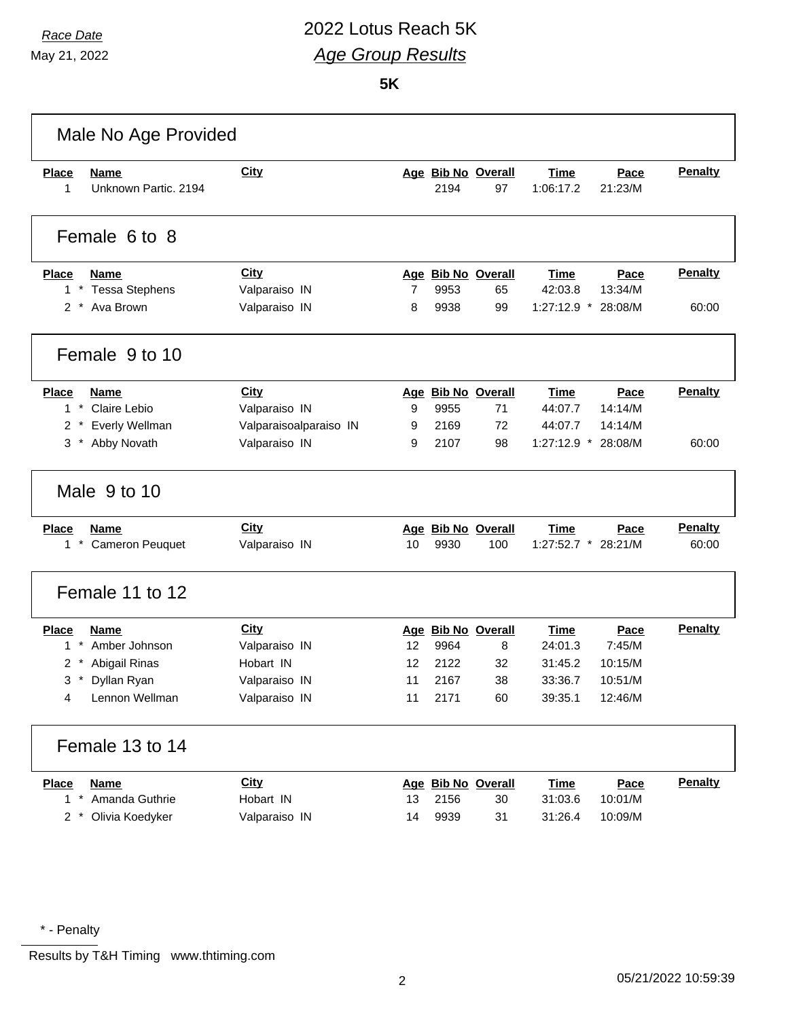### *Race Date* 2022 Lotus Reach 5K *Age Group Results*

**5K**

| Male No Age Provided                              |                        |    |      |                          |                          |                 |                |
|---------------------------------------------------|------------------------|----|------|--------------------------|--------------------------|-----------------|----------------|
| Place<br><b>Name</b><br>Unknown Partic. 2194<br>1 | <b>City</b>            |    | 2194 | Age Bib No Overall<br>97 | <b>Time</b><br>1:06:17.2 | Pace<br>21:23/M | <b>Penalty</b> |
| Female 6 to 8                                     |                        |    |      |                          |                          |                 |                |
| <b>Place</b><br><b>Name</b>                       | <b>City</b>            |    |      | Age Bib No Overall       | <b>Time</b>              | Pace            | <b>Penalty</b> |
| $^\star$<br><b>Tessa Stephens</b><br>1            | Valparaiso IN          | 7  | 9953 | 65                       | 42:03.8                  | 13:34/M         |                |
| 2 * Ava Brown                                     | Valparaiso IN          | 8  | 9938 | 99                       | $1:27:12.9$ *            | 28:08/M         | 60:00          |
| Female 9 to 10                                    |                        |    |      |                          |                          |                 |                |
| <b>Place</b><br><b>Name</b>                       | <b>City</b>            |    |      | Age Bib No Overall       | Time                     | Pace            | <b>Penalty</b> |
| $1 *$<br>Claire Lebio                             | Valparaiso IN          | 9  | 9955 | 71                       | 44:07.7                  | 14:14/M         |                |
| Everly Wellman<br>$2 *$                           | Valparaisoalparaiso IN | 9  | 2169 | 72                       | 44:07.7                  | 14:14/M         |                |
| Abby Novath<br>3<br>$^{\star}$                    | Valparaiso IN          | 9  | 2107 | 98                       | 1:27:12.9 * 28:08/M      |                 | 60:00          |
| Male 9 to 10                                      |                        |    |      |                          |                          |                 |                |
| <b>Place</b><br><b>Name</b>                       | <b>City</b>            |    |      | Age Bib No Overall       | <b>Time</b>              | Pace            | <b>Penalty</b> |
| $1$ $*$<br><b>Cameron Peuquet</b>                 | Valparaiso IN          | 10 | 9930 | 100                      | $1:27:52.7$ *            | 28:21/M         | 60:00          |
| Female 11 to 12                                   |                        |    |      |                          |                          |                 |                |
| <b>Place</b><br><b>Name</b>                       | City                   |    |      | Age Bib No Overall       | Time                     | Pace            | <b>Penalty</b> |
| $\pmb{\ast}$<br>Amber Johnson<br>1                | Valparaiso IN          | 12 | 9964 | 8                        | 24:01.3                  | 7:45/M          |                |
| $\overline{2}$<br>Abigail Rinas                   | Hobart IN              | 12 | 2122 | 32                       | 31:45.2                  | 10:15/M         |                |
| Dyllan Ryan<br>3<br>$\ast$                        | Valparaiso IN          | 11 | 2167 | 38                       | 33:36.7                  | 10:51/M         |                |
| Lennon Wellman<br>4                               | Valparaiso IN          | 11 | 2171 | 60                       | 39:35.1                  | 12:46/M         |                |
| Female 13 to 14                                   |                        |    |      |                          |                          |                 |                |
| <b>Place</b><br><b>Name</b>                       | <b>City</b>            |    |      | Age Bib No Overall       | <b>Time</b>              | Pace            | <b>Penalty</b> |
| $1 *$<br>Amanda Guthrie                           | Hobart IN              | 13 | 2156 | 30                       | 31:03.6                  | 10:01/M         |                |
| $2 *$<br>Olivia Koedyker                          | Valparaiso IN          | 14 | 9939 | 31                       | 31:26.4                  | 10:09/M         |                |
|                                                   |                        |    |      |                          |                          |                 |                |

\* - Penalty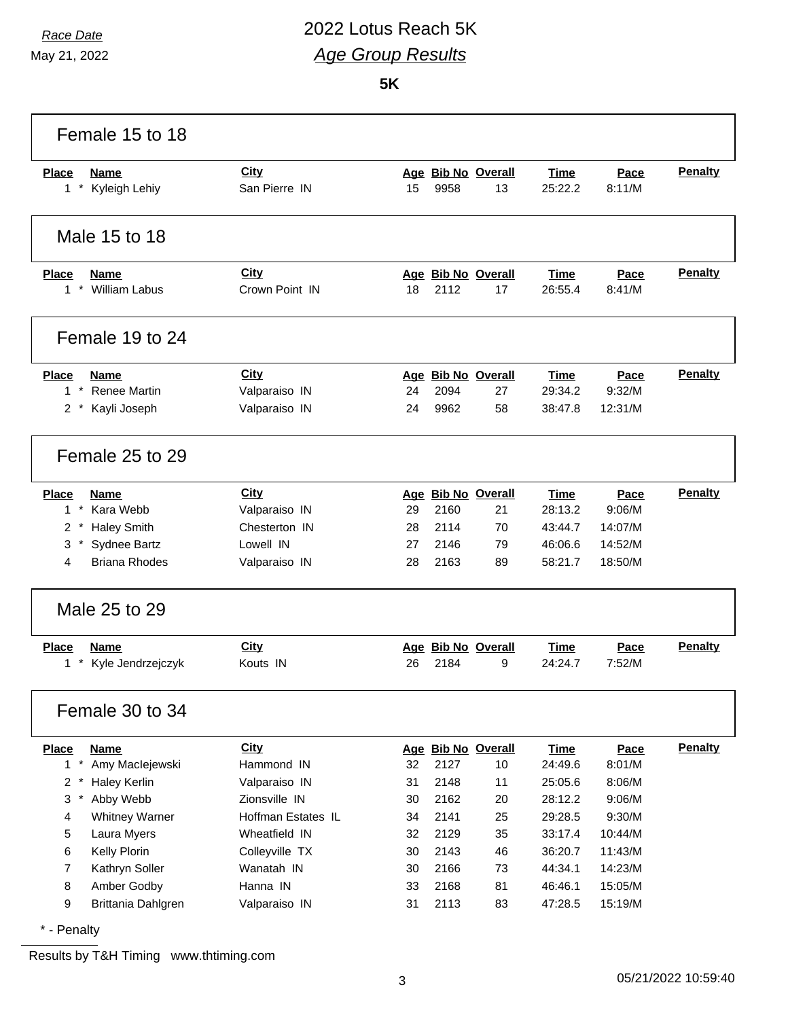# *Race Date* 2022 Lotus Reach 5K *Age Group Results*

**5K**

| Female 15 to 18                      |                    |    |      |                    |             |         |                |
|--------------------------------------|--------------------|----|------|--------------------|-------------|---------|----------------|
| <b>Place</b><br><b>Name</b>          | <b>City</b>        |    |      | Age Bib No Overall | Time        | Pace    | <b>Penalty</b> |
| $1 *$<br>Kyleigh Lehiy               | San Pierre IN      | 15 | 9958 | 13                 | 25:22.2     | 8:11/M  |                |
| Male 15 to 18                        |                    |    |      |                    |             |         |                |
| <b>Place</b><br><b>Name</b>          | City               |    |      | Age Bib No Overall | <b>Time</b> | Pace    | <b>Penalty</b> |
| 1 * William Labus                    | Crown Point IN     | 18 | 2112 | 17                 | 26:55.4     | 8:41/M  |                |
| Female 19 to 24                      |                    |    |      |                    |             |         |                |
| <b>Place</b><br>Name                 | <b>City</b>        |    |      | Age Bib No Overall | Time        | Pace    | Penalty        |
| $1 *$<br><b>Renee Martin</b>         | Valparaiso IN      | 24 | 2094 | 27                 | 29:34.2     | 9:32/M  |                |
| Kayli Joseph<br>$2^*$                | Valparaiso IN      | 24 | 9962 | 58                 | 38:47.8     | 12:31/M |                |
| Female 25 to 29                      |                    |    |      |                    |             |         |                |
| <b>Place</b><br><b>Name</b>          | City               |    |      | Age Bib No Overall | <b>Time</b> | Pace    | Penalty        |
| $1*$<br>Kara Webb                    | Valparaiso IN      | 29 | 2160 | 21                 | 28:13.2     | 9:06/M  |                |
| $\overline{2}$<br><b>Haley Smith</b> | Chesterton IN      | 28 | 2114 | 70                 | 43:44.7     | 14:07/M |                |
| 3<br>Sydnee Bartz                    | Lowell IN          | 27 | 2146 | 79                 | 46:06.6     | 14:52/M |                |
| <b>Briana Rhodes</b><br>4            | Valparaiso IN      | 28 | 2163 | 89                 | 58:21.7     | 18:50/M |                |
| Male 25 to 29                        |                    |    |      |                    |             |         |                |
| <b>Place</b><br><b>Name</b>          | City               |    |      | Age Bib No Overall | <b>Time</b> | Pace    | <b>Penalty</b> |
| $1 *$<br>Kyle Jendrzejczyk           | Kouts IN           | 26 | 2184 | 9                  | 24:24.7     | 7:52/M  |                |
| Female 30 to 34                      |                    |    |      |                    |             |         |                |
| <b>Name</b><br><b>Place</b>          | <b>City</b>        |    |      | Age Bib No Overall | <b>Time</b> | Pace    | <b>Penalty</b> |
| $1 *$<br>Amy Maclejewski             | Hammond IN         | 32 | 2127 | 10                 | 24:49.6     | 8:01/M  |                |
| $2 *$<br><b>Haley Kerlin</b>         | Valparaiso IN      | 31 | 2148 | 11                 | 25:05.6     | 8:06/M  |                |
| 3<br>$\pmb{\ast}$<br>Abby Webb       | Zionsville IN      | 30 | 2162 | 20                 | 28:12.2     | 9:06/M  |                |
| 4<br><b>Whitney Warner</b>           | Hoffman Estates IL | 34 | 2141 | 25                 | 29:28.5     | 9:30/M  |                |
| 5<br>Laura Myers                     | Wheatfield IN      | 32 | 2129 | 35                 | 33:17.4     | 10:44/M |                |
| Kelly Plorin<br>6                    | Colleyville TX     | 30 | 2143 | 46                 | 36:20.7     | 11:43/M |                |
| $\overline{7}$<br>Kathryn Soller     | Wanatah IN         | 30 | 2166 | 73                 | 44:34.1     | 14:23/M |                |
| Amber Godby<br>8                     | Hanna IN           | 33 | 2168 | 81                 | 46:46.1     | 15:05/M |                |
| 9<br>Brittania Dahlgren              | Valparaiso IN      | 31 | 2113 | 83                 | 47:28.5     | 15:19/M |                |

\* - Penalty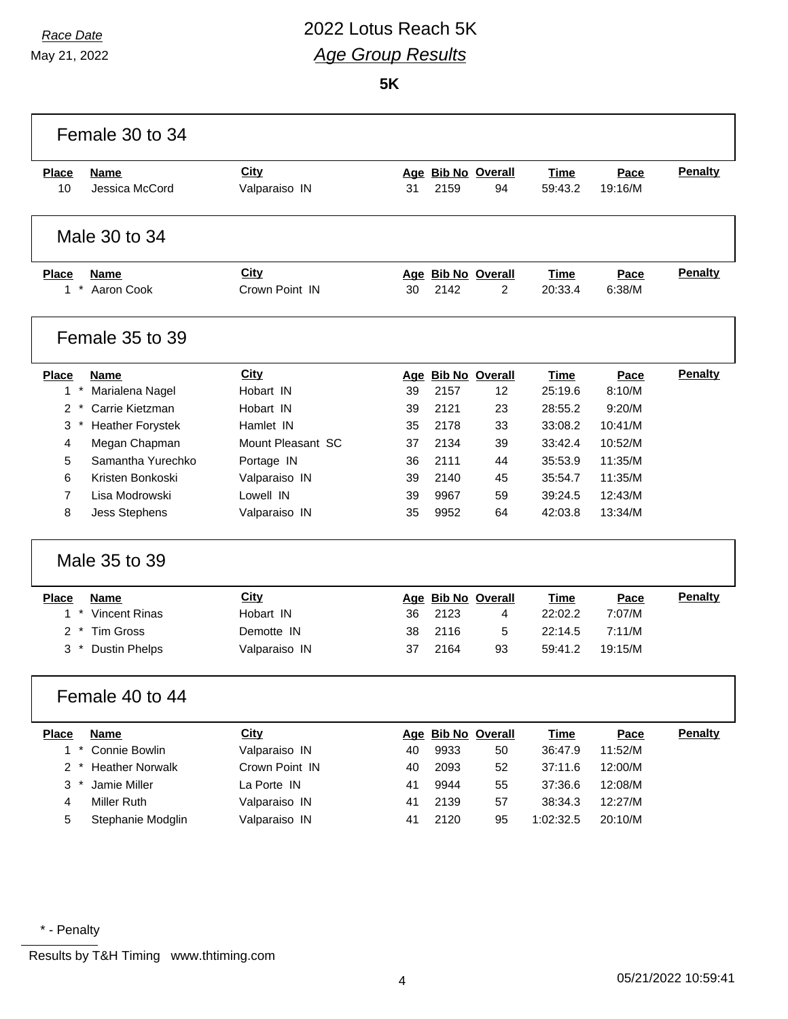# *Race Date* 2022 Lotus Reach 5K *Age Group Results*

**5K**

|                                                                                           | Female 30 to 34                                                                                                                                                                                           |                                                                                                                                              |                                              |                                                              |                                                                                          |                                                                                                                    |                                                                                                    |                                  |
|-------------------------------------------------------------------------------------------|-----------------------------------------------------------------------------------------------------------------------------------------------------------------------------------------------------------|----------------------------------------------------------------------------------------------------------------------------------------------|----------------------------------------------|--------------------------------------------------------------|------------------------------------------------------------------------------------------|--------------------------------------------------------------------------------------------------------------------|----------------------------------------------------------------------------------------------------|----------------------------------|
| <b>Place</b><br>10                                                                        | Name<br>Jessica McCord                                                                                                                                                                                    | City<br>Valparaiso IN                                                                                                                        | 31                                           | 2159                                                         | Age Bib No Overall<br>94                                                                 | Time<br>59:43.2                                                                                                    | Pace<br>19:16/M                                                                                    | <b>Penalty</b>                   |
|                                                                                           | Male 30 to 34                                                                                                                                                                                             |                                                                                                                                              |                                              |                                                              |                                                                                          |                                                                                                                    |                                                                                                    |                                  |
| <b>Place</b><br>$1*$                                                                      | <b>Name</b><br>Aaron Cook                                                                                                                                                                                 | City<br>Crown Point IN                                                                                                                       | 30                                           | 2142                                                         | Age Bib No Overall<br>2                                                                  | <b>Time</b><br>20:33.4                                                                                             | Pace<br>6:38/M                                                                                     | <b>Penalty</b>                   |
|                                                                                           | Female 35 to 39                                                                                                                                                                                           |                                                                                                                                              |                                              |                                                              |                                                                                          |                                                                                                                    |                                                                                                    |                                  |
| <b>Place</b><br>$1 *$<br>$2^*$<br>3<br>4<br>5<br>6<br>$\overline{7}$<br>8<br><b>Place</b> | Name<br>Marialena Nagel<br>Carrie Kietzman<br><b>Heather Forystek</b><br>Megan Chapman<br>Samantha Yurechko<br>Kristen Bonkoski<br>Lisa Modrowski<br><b>Jess Stephens</b><br>Male 35 to 39<br><b>Name</b> | <b>City</b><br>Hobart IN<br>Hobart IN<br>Hamlet IN<br>Mount Pleasant SC<br>Portage IN<br>Valparaiso IN<br>Lowell IN<br>Valparaiso IN<br>City | 39<br>39<br>35<br>37<br>36<br>39<br>39<br>35 | 2157<br>2121<br>2178<br>2134<br>2111<br>2140<br>9967<br>9952 | Age Bib No Overall<br>12<br>23<br>33<br>39<br>44<br>45<br>59<br>64<br>Age Bib No Overall | <b>Time</b><br>25:19.6<br>28:55.2<br>33:08.2<br>33:42.4<br>35:53.9<br>35:54.7<br>39:24.5<br>42:03.8<br><b>Time</b> | Pace<br>8:10/M<br>9:20/M<br>10:41/M<br>10:52/M<br>11:35/M<br>11:35/M<br>12:43/M<br>13:34/M<br>Pace | <b>Penalty</b><br><b>Penalty</b> |
| $\ast$<br>1<br>$\mathcal{P}$<br>3                                                         | <b>Vincent Rinas</b><br><b>Tim Gross</b><br><b>Dustin Phelps</b>                                                                                                                                          | Hobart IN<br>Demotte IN<br>Valparaiso IN                                                                                                     | 36<br>38<br>37                               | 2123<br>2116<br>2164                                         | 4<br>5<br>93                                                                             | 22:02.2<br>22:14.5<br>59:41.2                                                                                      | 7:07/M<br>7:11/M<br>19:15/M                                                                        |                                  |
|                                                                                           | Female 40 to 44                                                                                                                                                                                           |                                                                                                                                              |                                              |                                                              |                                                                                          |                                                                                                                    |                                                                                                    |                                  |
| <b>Place</b><br>$1 *$<br>$2 *$<br>3<br>4<br>5                                             | <b>Name</b><br>Connie Bowlin<br><b>Heather Norwalk</b><br>Jamie Miller<br>Miller Ruth<br>Stephanie Modglin                                                                                                | <b>City</b><br>Valparaiso IN<br>Crown Point IN<br>La Porte IN<br>Valparaiso IN<br>Valparaiso IN                                              | 40<br>40<br>41<br>41<br>41                   | 9933<br>2093<br>9944<br>2139<br>2120                         | Age Bib No Overall<br>50<br>52<br>55<br>57<br>95                                         | <b>Time</b><br>36:47.9<br>37:11.6<br>37:36.6<br>38:34.3<br>1:02:32.5                                               | Pace<br>11:52/M<br>12:00/M<br>12:08/M<br>12:27/M<br>20:10/M                                        | <b>Penalty</b>                   |

\* - Penalty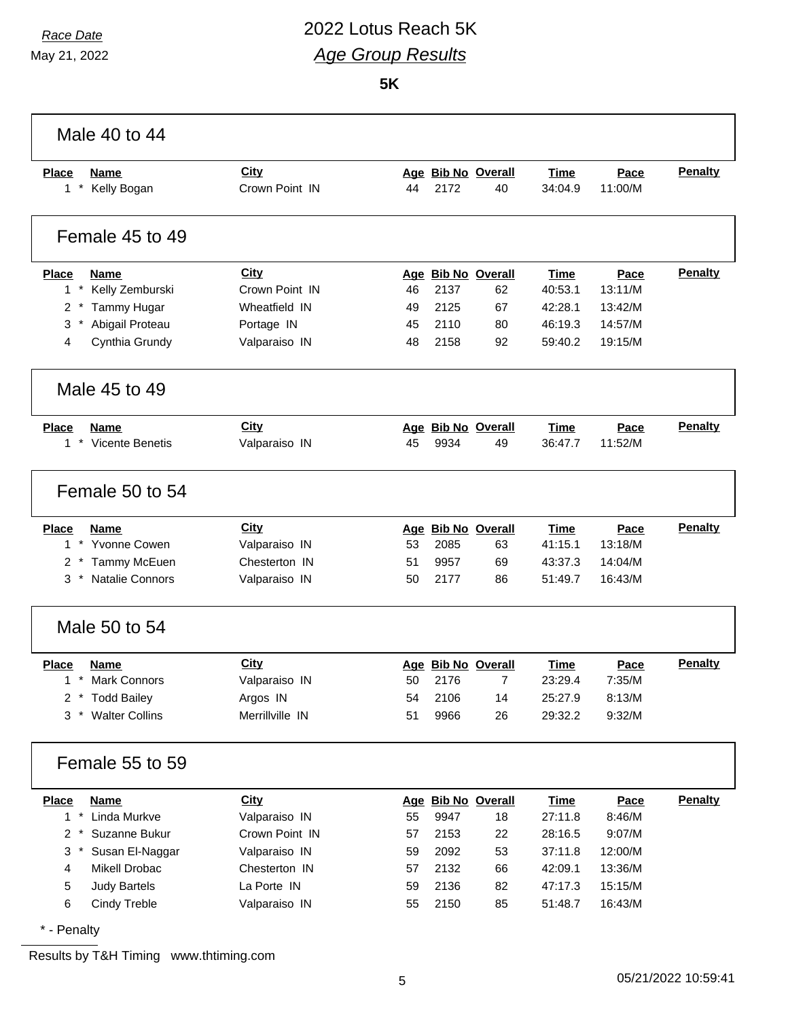# *Race Date* 2022 Lotus Reach 5K *Age Group Results*

**5K**

| Male 40 to 44                                    |                 |    |      |                    |             |         |                |
|--------------------------------------------------|-----------------|----|------|--------------------|-------------|---------|----------------|
| <b>Place</b><br><b>Name</b>                      | City            |    |      | Age Bib No Overall | <b>Time</b> | Pace    | Penalty        |
| $\star$<br>Kelly Bogan<br>1                      | Crown Point IN  | 44 | 2172 | 40                 | 34:04.9     | 11:00/M |                |
| Female 45 to 49                                  |                 |    |      |                    |             |         |                |
| <b>Place</b><br><b>Name</b>                      | City            |    |      | Age Bib No Overall | <b>Time</b> | Pace    | <b>Penalty</b> |
| $1 *$<br>Kelly Zemburski                         | Crown Point IN  | 46 | 2137 | 62                 | 40:53.1     | 13:11/M |                |
| 2<br>Tammy Hugar                                 | Wheatfield IN   | 49 | 2125 | 67                 | 42:28.1     | 13:42/M |                |
| $\ast$<br>Abigail Proteau<br>3                   | Portage IN      | 45 | 2110 | 80                 | 46:19.3     | 14:57/M |                |
| Cynthia Grundy<br>4                              | Valparaiso IN   | 48 | 2158 | 92                 | 59:40.2     | 19:15/M |                |
| Male 45 to 49                                    |                 |    |      |                    |             |         |                |
| <b>Place</b><br><b>Name</b>                      | City            |    |      | Age Bib No Overall | <b>Time</b> | Pace    | <b>Penalty</b> |
| $\star$<br><b>Vicente Benetis</b><br>$\mathbf 1$ | Valparaiso IN   | 45 | 9934 | 49                 | 36:47.7     | 11:52/M |                |
| Female 50 to 54                                  |                 |    |      |                    |             |         |                |
| <b>Place</b><br><b>Name</b>                      | <b>City</b>     |    |      | Age Bib No Overall | <b>Time</b> | Pace    | <b>Penalty</b> |
| * Yvonne Cowen<br>$\mathbf{1}$                   | Valparaiso IN   | 53 | 2085 | 63                 | 41:15.1     | 13:18/M |                |
| $2 *$<br>Tammy McEuen                            | Chesterton IN   | 51 | 9957 | 69                 | 43:37.3     | 14:04/M |                |
| $\star$<br><b>Natalie Connors</b><br>3           | Valparaiso IN   | 50 | 2177 | 86                 | 51:49.7     | 16:43/M |                |
| Male 50 to 54                                    |                 |    |      |                    |             |         |                |
| <b>Place</b><br><b>Name</b>                      | <b>City</b>     |    |      | Age Bib No Overall | <b>Time</b> | Pace    | Penalty        |
| $1 *$<br><b>Mark Connors</b>                     | Valparaiso IN   | 50 | 2176 | $\overline{7}$     | 23:29.4     | 7:35/M  |                |
| 2 * Todd Bailey                                  | Argos IN        | 54 | 2106 | 14                 | 25:27.9     | 8:13/M  |                |
| $3 *$<br><b>Walter Collins</b>                   | Merrillville IN | 51 | 9966 | 26                 | 29:32.2     | 9:32/M  |                |
| Female 55 to 59                                  |                 |    |      |                    |             |         |                |
| <b>Place</b><br><b>Name</b>                      | City            |    |      | Age Bib No Overall | <b>Time</b> | Pace    | <b>Penalty</b> |
| $1*$<br>Linda Murkve                             | Valparaiso IN   | 55 | 9947 | 18                 | 27:11.8     | 8:46/M  |                |
| Suzanne Bukur<br>$2 *$                           | Crown Point IN  | 57 | 2153 | 22                 | 28:16.5     | 9:07/M  |                |
| $3*$<br>Susan El-Naggar                          | Valparaiso IN   | 59 | 2092 | 53                 | 37:11.8     | 12:00/M |                |
| Mikell Drobac<br>$\overline{\mathbf{4}}$         | Chesterton IN   | 57 | 2132 | 66                 | 42:09.1     | 13:36/M |                |
| <b>Judy Bartels</b><br>5                         | La Porte IN     | 59 | 2136 | 82                 | 47:17.3     | 15:15/M |                |
| 6<br>Cindy Treble                                | Valparaiso IN   | 55 | 2150 | 85                 | 51:48.7     | 16:43/M |                |
| * - Penalty                                      |                 |    |      |                    |             |         |                |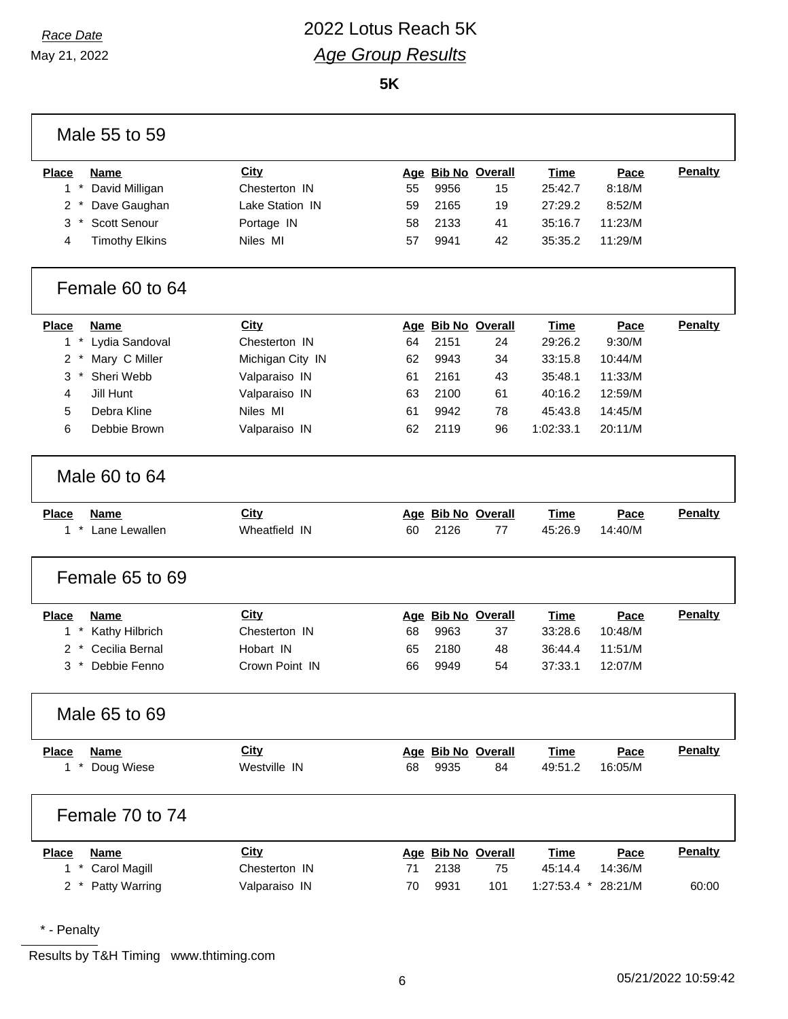## *Race Date* 2022 Lotus Reach 5K *Age Group Results*

**5K**

| Male 55 to 59                                  |                  |    |      |                    |                     |         |                |
|------------------------------------------------|------------------|----|------|--------------------|---------------------|---------|----------------|
| <b>Place</b><br><b>Name</b>                    | City             |    |      | Age Bib No Overall | <b>Time</b>         | Pace    | <b>Penalty</b> |
| $\pmb{\ast}$<br>$\mathbf{1}$<br>David Milligan | Chesterton IN    | 55 | 9956 | 15                 | 25:42.7             | 8:18/M  |                |
| $\overline{2}$<br>Dave Gaughan                 | Lake Station IN  | 59 | 2165 | 19                 | 27:29.2             | 8:52/M  |                |
| 3<br>Scott Senour                              | Portage IN       | 58 | 2133 | 41                 | 35:16.7             | 11:23/M |                |
| <b>Timothy Elkins</b><br>4                     | Niles MI         | 57 | 9941 | 42                 | 35:35.2             | 11:29/M |                |
| Female 60 to 64                                |                  |    |      |                    |                     |         |                |
| <b>Place</b><br><b>Name</b>                    | City             |    |      | Age Bib No Overall | <b>Time</b>         | Pace    | Penalty        |
| $\star$<br>$\mathbf{1}$<br>Lydia Sandoval      | Chesterton IN    | 64 | 2151 | 24                 | 29:26.2             | 9:30/M  |                |
| $\star$<br>Mary C Miller<br>$\overline{2}$     | Michigan City IN | 62 | 9943 | 34                 | 33:15.8             | 10:44/M |                |
| 3<br>Sheri Webb                                | Valparaiso IN    | 61 | 2161 | 43                 | 35:48.1             | 11:33/M |                |
| Jill Hunt<br>4                                 | Valparaiso IN    | 63 | 2100 | 61                 | 40:16.2             | 12:59/M |                |
| 5<br>Debra Kline                               | Niles MI         | 61 | 9942 | 78                 | 45:43.8             | 14:45/M |                |
| 6<br>Debbie Brown                              | Valparaiso IN    | 62 | 2119 | 96                 | 1:02:33.1           | 20:11/M |                |
| Male 60 to 64                                  |                  |    |      |                    |                     |         |                |
| <b>Place</b><br><b>Name</b>                    | City             |    |      | Age Bib No Overall | <b>Time</b>         | Pace    | Penalty        |
| $\star$<br>Lane Lewallen<br>$\mathbf{1}$       | Wheatfield IN    | 60 | 2126 | 77                 | 45:26.9             | 14:40/M |                |
| Female 65 to 69                                |                  |    |      |                    |                     |         |                |
| <b>Place</b><br><b>Name</b>                    | City             |    |      | Age Bib No Overall | <b>Time</b>         | Pace    | <b>Penalty</b> |
| Kathy Hilbrich<br>$\mathbf{1}$                 | Chesterton IN    | 68 | 9963 | 37                 | 33:28.6             | 10:48/M |                |
| Cecilia Bernal<br>$\overline{2}$               | Hobart IN        | 65 | 2180 | 48                 | 36:44.4             | 11:51/M |                |
| 3<br>Debbie Fenno                              | Crown Point IN   | 66 | 9949 | 54                 | 37:33.1             | 12:07/M |                |
| Male 65 to 69                                  |                  |    |      |                    |                     |         |                |
| <b>Place</b><br><b>Name</b>                    | <b>City</b>      |    |      | Age Bib No Overall | <b>Time</b>         | Pace    | Penalty        |
| Doug Wiese<br>$\mathbf{1}$<br>$^\star$         | Westville IN     | 68 | 9935 | 84                 | 49:51.2             | 16:05/M |                |
| Female 70 to 74                                |                  |    |      |                    |                     |         |                |
| <b>Place</b><br><b>Name</b>                    | City             |    |      | Age Bib No Overall | <b>Time</b>         | Pace    | <b>Penalty</b> |
| Carol Magill<br>1                              | Chesterton IN    | 71 | 2138 | 75                 | 45:14.4             | 14:36/M |                |
| Patty Warring<br>$\overline{2}$                | Valparaiso IN    | 70 | 9931 | 101                | 1:27:53.4 * 28:21/M |         | 60:00          |
|                                                |                  |    |      |                    |                     |         |                |

\* - Penalty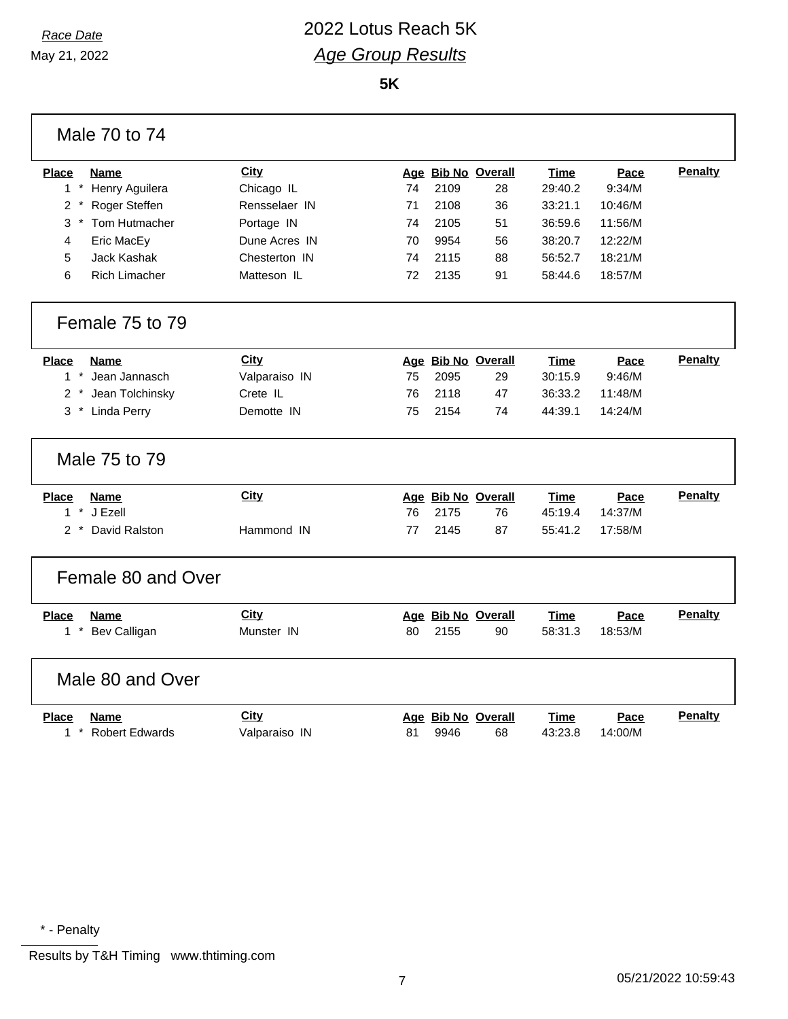### *Race Date* 2022 Lotus Reach 5K *Age Group Results*

**5K**

| Male 70 to 74                               |               |    |      |                    |         |         |                |
|---------------------------------------------|---------------|----|------|--------------------|---------|---------|----------------|
| <b>Place</b><br>Name                        | <b>City</b>   |    |      | Age Bib No Overall | Time    | Pace    | <b>Penalty</b> |
| $1 *$<br>Henry Aguilera                     | Chicago IL    | 74 | 2109 | 28                 | 29:40.2 | 9:34/M  |                |
| $\overline{c}$<br>Roger Steffen<br>$^\star$ | Rensselaer IN | 71 | 2108 | 36                 | 33:21.1 | 10:46/M |                |
| 3<br>Tom Hutmacher                          | Portage IN    | 74 | 2105 | 51                 | 36:59.6 | 11:56/M |                |
| 4<br>Eric MacEy                             | Dune Acres IN | 70 | 9954 | 56                 | 38:20.7 | 12:22/M |                |
| 5<br>Jack Kashak                            | Chesterton IN | 74 | 2115 | 88                 | 56:52.7 | 18:21/M |                |
| 6<br><b>Rich Limacher</b>                   | Matteson IL   | 72 | 2135 | 91                 | 58:44.6 | 18:57/M |                |
| Female 75 to 79                             |               |    |      |                    |         |         |                |
| <b>Place</b><br>Name                        | City          |    |      | Age Bib No Overall | Time    | Pace    | <b>Penalty</b> |
| $\star$<br>Jean Jannasch<br>$\mathbf{1}$    | Valparaiso IN | 75 | 2095 | 29                 | 30:15.9 | 9:46/M  |                |
| Jean Tolchinsky<br>$\overline{2}$           | Crete IL      | 76 | 2118 | 47                 | 36:33.2 | 11:48/M |                |
| Linda Perry<br>3                            | Demotte IN    | 75 | 2154 | 74                 | 44:39.1 | 14:24/M |                |
| Male 75 to 79                               |               |    |      |                    |         |         |                |
| <b>Place</b><br>Name                        | <b>City</b>   |    |      | Age Bib No Overall | Time    | Pace    | <b>Penalty</b> |
| $\star$<br>J Ezell<br>$\mathbf{1}$          |               | 76 | 2175 | 76                 | 45:19.4 | 14:37/M |                |
| David Ralston<br>$\overline{2}$             | Hammond IN    | 77 | 2145 | 87                 | 55:41.2 | 17:58/M |                |
| Female 80 and Over                          |               |    |      |                    |         |         |                |
| Name<br><b>Place</b>                        | City          |    |      | Age Bib No Overall | Time    | Pace    | <b>Penalty</b> |
| 1 * Bev Calligan                            | Munster IN    | 80 | 2155 | 90                 | 58:31.3 | 18:53/M |                |
| Male 80 and Over                            |               |    |      |                    |         |         |                |
| <b>Place</b><br>Name                        | City          |    |      | Age Bib No Overall | Time    | Pace    | <b>Penalty</b> |
| <b>Robert Edwards</b><br>$1*$               | Valparaiso IN | 81 | 9946 | 68                 | 43:23.8 | 14:00/M |                |

\* - Penalty